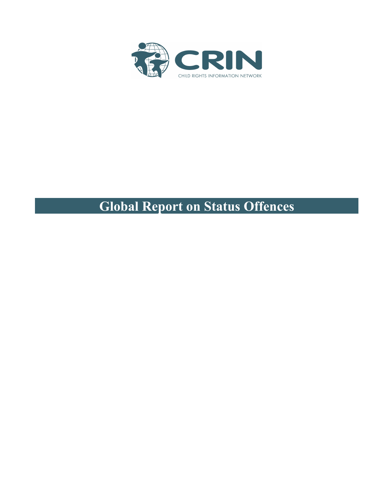

# **Global Report on Status Offences**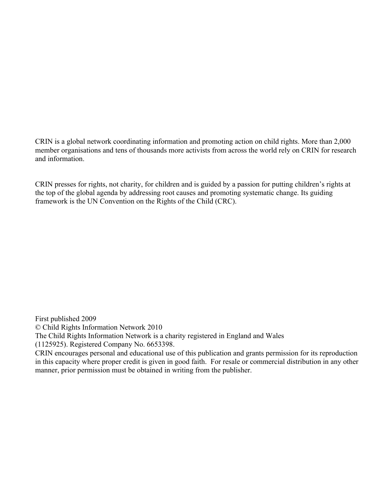CRIN is a global network coordinating information and promoting action on child rights. More than 2,000 member organisations and tens of thousands more activists from across the world rely on CRIN for research and information.

CRIN presses for rights, not charity, for children and is guided by a passion for putting children's rights at the top of the global agenda by addressing root causes and promoting systematic change. Its guiding framework is the UN Convention on the Rights of the Child (CRC).

First published 2009 © Child Rights Information Network 2010 The Child Rights Information Network is a charity registered in England and Wales (1125925). Registered Company No. 6653398. CRIN encourages personal and educational use of this publication and grants permission for its reproduction in this capacity where proper credit is given in good faith. For resale or commercial distribution in any other manner, prior permission must be obtained in writing from the publisher.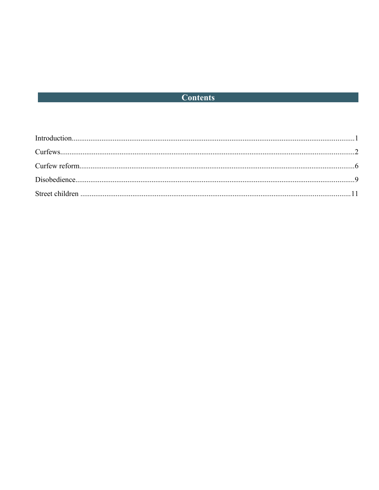# **Contents Contents**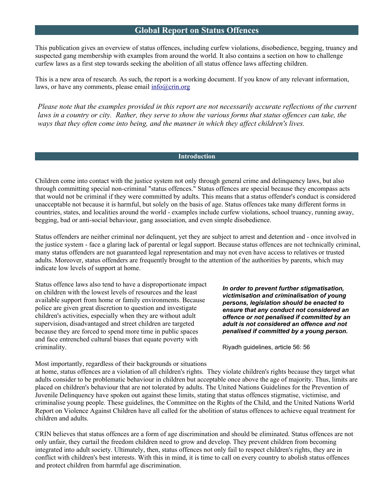# **Global Report on Status Offences**

This publication gives an overview of status offences, including curfew violations, disobedience, begging, truancy and suspected gang membership with examples from around the world. It also contains a section on how to challenge curfew laws as a first step towards seeking the abolition of all status offence laws affecting children.

This is a new area of research. As such, the report is a working document. If you know of any relevant information, laws, or have any comments, please email [info@crin.org](mailto:info@crin.org)

*Please note that the examples provided in this report are not necessarily accurate reflections of the current laws in a country or city. Rather, they serve to show the various forms that status offences can take, the ways that they often come into being, and the manner in which they affect children's lives.*

#### **Introduction**

Children come into contact with the justice system not only through general crime and delinquency laws, but also through committing special non-criminal "status offences." Status offences are special because they encompass acts that would not be criminal if they were committed by adults. This means that a status offender's conduct is considered unacceptable not because it is harmful, but solely on the basis of age. Status offences take many different forms in countries, states, and localities around the world - examples include curfew violations, school truancy, running away, begging, bad or anti-social behaviour, gang association, and even simple disobedience.

Status offenders are neither criminal nor delinquent, yet they are subject to arrest and detention and - once involved in the justice system - face a glaring lack of parental or legal support. Because status offences are not technically criminal, many status offenders are not guaranteed legal representation and may not even have access to relatives or trusted adults. Moreover, status offenders are frequently brought to the attention of the authorities by parents, which may indicate low levels of support at home.

Status offence laws also tend to have a disproportionate impact on children with the lowest levels of resources and the least available support from home or family environments. Because police are given great discretion to question and investigate children's activities, especially when they are without adult supervision, disadvantaged and street children are targeted because they are forced to spend more time in public spaces and face entrenched cultural biases that equate poverty with criminality.

*In order to prevent further stigmatisation, victimisation and criminalisation of young persons, legislation should be enacted to ensure that any conduct not considered an offence or not penalised if committed by an adult is not considered an offence and not penalised if committed by a young person.*

Riyadh guidelines, article 56: 56

Most importantly, regardless of their backgrounds or situations at home, status offences are a violation of all children's rights. They violate children's rights because they target what adults consider to be problematic behaviour in children but acceptable once above the age of majority. Thus, limits are placed on children's behaviour that are not tolerated by adults. The United Nations Guidelines for the Prevention of Juvenile Delinquency have spoken out against these limits, stating that status offences stigmatise, victimise, and criminalise young people. These guidelines, the Committee on the Rights of the Child, and the United Nations World Report on Violence Against Children have all called for the abolition of status offences to achieve equal treatment for children and adults.

CRIN believes that status offences are a form of age discrimination and should be eliminated. Status offences are not only unfair, they curtail the freedom children need to grow and develop. They prevent children from becoming integrated into adult society. Ultimately, then, status offences not only fail to respect children's rights, they are in conflict with children's best interests. With this in mind, it is time to call on every country to abolish status offences and protect children from harmful age discrimination.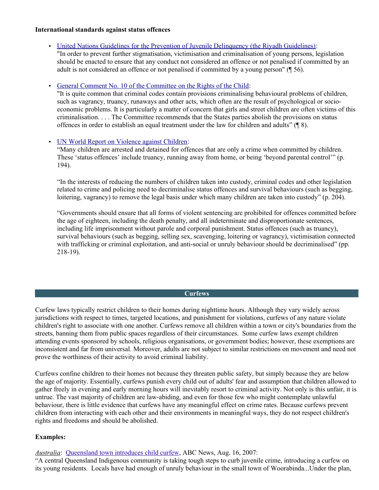#### **International standards against status offences**

• [United Nations Guidelines for the Prevention of Juvenile Delinquency \(the Riyadh Guidelines\):](http://www.crin.org/Law/instrument.asp?InstID=1069)

"In order to prevent further stigmatisation, victimisation and criminalisation of young persons, legislation should be enacted to ensure that any conduct not considered an offence or not penalised if committed by an adult is not considered an offence or not penalised if committed by a young person" (¶ 56).

#### • [General Comment No. 10 of the Committee on the Rights of the Child:](http://www.crin.org/resources/infoDetail.asp?ID=8043)

"It is quite common that criminal codes contain provisions criminalising behavioural problems of children, such as vagrancy, truancy, runaways and other acts, which often are the result of psychological or socioeconomic problems. It is particularly a matter of concern that girls and street children are often victims of this criminalisation. . . . The Committee recommends that the States parties abolish the provisions on status offences in order to establish an equal treatment under the law for children and adults" (¶ 8).

# • UN [World Report on Violence against Children:](http://www.crin.org/resources/infoDetail.asp?ID=11348&flag=report)

"Many children are arrested and detained for offences that are only a crime when committed by children. These 'status offences' include truancy, running away from home, or being 'beyond parental control'" (p. 194).

"In the interests of reducing the numbers of children taken into custody, criminal codes and other legislation related to crime and policing need to decriminalise status offences and survival behaviours (such as begging, loitering, vagrancy) to remove the legal basis under which many children are taken into custody" (p. 204).

"Governments should ensure that all forms of violent sentencing are prohibited for offences committed before the age of eighteen, including the death penalty, and all indeterminate and disproportionate sentences, including life imprisonment without parole and corporal punishment. Status offences (such as truancy), survival behaviours (such as begging, selling sex, scavenging, loitering or vagrancy), victimisation connected with trafficking or criminal exploitation, and anti-social or unruly behaviour should be decriminalised" (pp. 218-19).

#### **Curfews**

Curfew laws typically restrict children to their homes during nighttime hours. Although they vary widely across jurisdictions with respect to times, targeted locations, and punishment for violations, curfews of any nature violate children's right to associate with one another. Curfews remove all children within a town or city's boundaries from the streets, banning them from public spaces regardless of their circumstances. Some curfew laws exempt children attending events sponsored by schools, religious organisations, or government bodies; however, these exemptions are inconsistent and far from universal. Moreover, adults are not subject to similar restrictions on movement and need not prove the worthiness of their activity to avoid criminal liability.

Curfews confine children to their homes not because they threaten public safety, but simply because they are below the age of majority. Essentially, curfews punish every child out of adults' fear and assumption that children allowed to gather freely in evening and early morning hours will inevitably resort to criminal activity. Not only is this unfair, it is untrue. The vast majority of children are law-abiding, and even for those few who might contemplate unlawful behaviour, there is little evidence that curfews have any meaningful effect on crime rates. Because curfews prevent children from interacting with each other and their environments in meaningful ways, they do not respect children's rights and freedoms and should be abolished.

#### **Examples:**

*Australia*: [Queensland town introduces child curfew,](http://www.abc.net.au/news/stories/2007/08/16/2006405.htm) ABC News, Aug. 16, 2007:

"A central Queensland Indigenous community is taking tough steps to curb juvenile crime, introducing a curfew on its young residents. Locals have had enough of unruly behaviour in the small town of Woorabinda...Under the plan,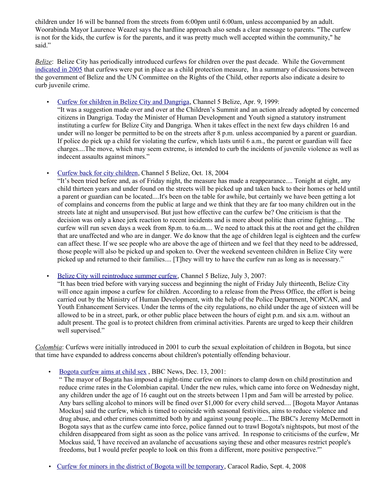children under 16 will be banned from the streets from  $6:00$ pm until  $6:00$ am, unless accompanied by an adult. Woorabinda Mayor Laurence Weazel says the hardline approach also sends a clear message to parents. "The curfew is not for the kids, the curfew is for the parents, and it was pretty much well accepted within the community," he said."

*Belize*: Belize City has periodically introduced curfews for children over the past decade. While the Government [indicated in 2005](http://www.unhchr.ch/tbs/doc.nsf/(Symbol)/CRC.C.SR.1010.En?OpenDocument) that curfews were put in place as a child protection measure, In a summary of discussions between the government of Belize and the UN Committee on the Rights of the Child, other reports also indicate a desire to curb juvenile crime.

• [Curfew for children in Belize City and Dangriga,](http://edition.channel5belize.com/archives/23264) Channel 5 Belize, Apr. 9, 1999:

"It was a suggestion made over and over at the Children's Summit and an action already adopted by concerned citizens in Dangriga. Today the Minister of Human Development and Youth signed a statutory instrument instituting a curfew for Belize City and Dangriga. When it takes effect in the next few days children 16 and under will no longer be permitted to be on the streets after 8 p.m. unless accompanied by a parent or guardian. If police do pick up a child for violating the curfew, which lasts until 6 a.m., the parent or guardian will face charges....The move, which may seem extreme, is intended to curb the incidents of juvenile violence as well as indecent assaults against minors."

• [Curfew back for city children,](http://edition.channel5belize.com/archives/12652) Channel 5 Belize, Oct. 18, 2004

"It's been tried before and, as of Friday night, the measure has made a reappearance.... Tonight at eight, any child thirteen years and under found on the streets will be picked up and taken back to their homes or held until a parent or guardian can be located....It's been on the table for awhile, but certainly we have been getting a lot of complains and concerns from the public at large and we think that they are far too many children out in the streets late at night and unsupervised. But just how effective can the curfew be? One criticism is that the decision was only a knee jerk reaction to recent incidents and is more about politic than crime fighting.... The curfew will run seven days a week from 8p.m. to 6a.m.... We need to attack this at the root and get the children that are unaffected and who are in danger. We do know that the age of children legal is eighteen and the curfew can affect these. If we see people who are above the age of thirteen and we feel that they need to be addressed, those people will also be picked up and spoken to. Over the weekend seventeen children in Belize City were picked up and returned to their families.... [T]hey will try to have the curfew run as long as is necessary."

• [Belize City will reintroduce summer curfew,](http://edition.channel5belize.com/archives/6810) Channel 5 Belize, July 3, 2007:

"It has been tried before with varying success and beginning the night of Friday July thirteenth, Belize City will once again impose a curfew for children. According to a release from the Press Office, the effort is being carried out by the Ministry of Human Development, with the help of the Police Department, NOPCAN, and Youth Enhancement Services. Under the terms of the city regulations, no child under the age of sixteen will be allowed to be in a street, park, or other public place between the hours of eight p.m. and six a.m. without an adult present. The goal is to protect children from criminal activities. Parents are urged to keep their children well supervised."

*Colombia*: Curfews were initially introduced in 2001 to curb the sexual exploitation of children in Bogota, but since that time have expanded to address concerns about children's potentially offending behaviour.

• Bogota curfew aims at child sex , BBC News, Dec. 13, 2001:

" The mayor of Bogata has imposed a night-time curfew on minors to clamp down on child prostitution and reduce crime rates in the Colombian capital. Under the new rules, which came into force on Wednesday night, any children under the age of 16 caught out on the streets between 11pm and 5am will be arrested by police. Any bars selling alcohol to minors will be fined over \$1,000 for every child served.... [Bogota Mayor Antanas Mockus] said the curfew, which is timed to coincide with seasonal festivities, aims to reduce violence and drug abuse, and other crimes committed both by and against young people....The BBC's Jeremy McDermott in Bogota says that as the curfew came into force, police fanned out to trawl Bogota's nightspots, but most of the children disappeared from sight as soon as the police vans arrived. In response to criticisms of the curfew, Mr Mockus said, 'I have received an avalanche of accusations saying these and other measures restrict people's freedoms, but I would prefer people to look on this from a different, more positive perspective.'"

• [Curfew for minors in the district of Bogota will be temporary,](http://www.caracol.com.co/nota.aspx?id=664968) Caracol Radio, Sept. 4, 2008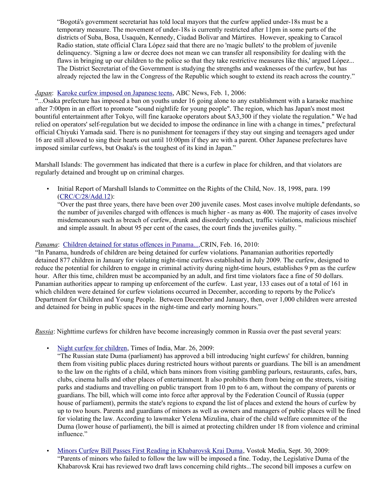"Bogotá's government secretariat has told local mayors that the curfew applied under-18s must be a temporary measure. The movement of under-18s is currently restricted after 11pm in some parts of the districts of Suba, Bosa, Usaquén, Kennedy, Ciudad Bolívar and Mártires. However, speaking to Caracol Radio station, state official Clara López said that there are no 'magic bullets' to the problem of juvenile delinquency. 'Signing a law or decree does not mean we can transfer all responsibility for dealing with the flaws in bringing up our children to the police so that they take restrictive measures like this,' argued López... The District Secretariat of the Government is studying the strengths and weaknesses of the curfew, but has already rejected the law in the Congress of the Republic which sought to extend its reach across the country."

#### *Japan*: [Karoke curfew imposed on Japanese teens,](http://www.abc.net.au/news/stories/2006/02/01/1560190.htm) ABC News, Feb. 1, 2006:

"...Osaka prefecture has imposed a ban on youths under 16 going alone to any establishment with a karaoke machine after 7:00pm in an effort to promote "sound nightlife for young people". The region, which has Japan's most most bountiful entertainment after Tokyo, will fine karaoke operators about \$A3,300 if they violate the regulation." We had relied on operators' self-regulation but we decided to impose the ordinance in line with a change in times," prefectural official Chiyuki Yamada said. There is no punishment for teenagers if they stay out singing and teenagers aged under 16 are still allowed to sing their hearts out until 10:00pm if they are with a parent. Other Japanese prefectures have imposed similar curfews, but Osaka's is the toughest of its kind in Japan."

Marshall Islands: The government has indicated that there is a curfew in place for children, and that violators are regularly detained and brought up on criminal charges.

• Initial Report of Marshall Islands to Committee on the Rights of the Child, Nov. 18, 1998, para. 199 [\(CRC/C/28/Add.12\)](http://tb.ohchr.org/default.aspx?Symbol=CRC/C/28/Add.12):

"Over the past three years, there have been over 200 juvenile cases. Most cases involve multiple defendants, so the number of juveniles charged with offences is much higher - as many as 400. The majority of cases involve misdemeanours such as breach of curfew, drunk and disorderly conduct, traffic violations, malicious mischief and simple assault. In about 95 per cent of the cases, the court finds the juveniles guilty. "

#### *Panama*: Children detained for status offences in Panama..., CRIN, Feb. 16, 2010:

"In Panama, hundreds of children are being detained for curfew violations. Panamanian authorities reportedly detained 877 children in January for violating night-time curfews established in July 2009. The curfew, designed to reduce the potential for children to engage in criminal activity during night-time hours, establishes 9 pm as the curfew hour. After this time, children must be accompanied by an adult, and first time violators face a fine of 50 dollars. Panamian authorities appear to ramping up enforcement of the curfew. Last year, 133 cases out of a total of 161 in which children were detained for curfew violations occurred in December, according to reports by the Police's Department for Children and Young People. Between December and January, then, over 1,000 children were arrested and detained for being in public spaces in the night-time and early morning hours."

*Russia*: Nighttime curfews for children have become increasingly common in Russia over the past several years:

• Night curfew for children. Times of India, Mar. 26, 2009:

"The Russian state Duma (parliament) has approved a bill introducing 'night curfews' for children, banning them from visiting public places during restricted hours without parents or guardians. The bill is an amendment to the law on the rights of a child, which bans minors from visiting gambling parlours, restaurants, cafes, bars, clubs, cinema halls and other places of entertainment. It also prohibits them from being on the streets, visiting parks and stadiums and travelling on public transport from 10 pm to 6 am, without the company of parents or guardians. The bill, which will come into force after approval by the Federation Council of Russia (upper house of parliament), permits the state's regions to expand the list of places and extend the hours of curfew by up to two hours. Parents and guardians of minors as well as owners and managers of public places will be fined for violating the law. According to lawmaker Yelena Mizulina, chair of the child welfare committee of the Duma (lower house of parliament), the bill is aimed at protecting children under 18 from violence and criminal influence."

• [Minors Curfew Bill Passes First Reading in Khabarovsk Krai Duma,](http://www.vostokmedia.com/n56358.html) Vostok Media, Sept. 30, 2009: "Parents of minors who failed to follow the law will be imposed a fine. Today, the Legislative Duma of the Khabarovsk Krai has reviewed two draft laws concerning child rights...The second bill imposes a curfew on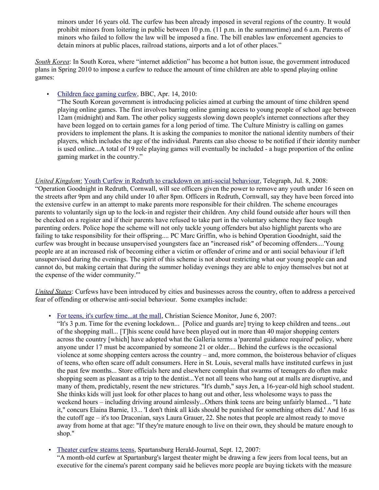minors under 16 years old. The curfew has been already imposed in several regions of the country. It would prohibit minors from loitering in public between 10 p.m. (11 p.m. in the summertime) and 6 a.m. Parents of minors who failed to follow the law will be imposed a fine. The bill enables law enforcement agencies to detain minors at public places, railroad stations, airports and a lot of other places."

*South Korea*: In South Korea, where "internet addiction" has become a hot button issue, the government introduced plans in Spring 2010 to impose a curfew to reduce the amount of time children are able to spend playing online games:

• [Children face gaming curfew,](http://www.crin.org/resources/infoDetail.asp?ID=22368&flag=news) BBC, Apr. 14, 2010:

"The South Korean government is introducing policies aimed at curbing the amount of time children spend playing online games. The first involves barring online gaming access to young people of school age between 12am (midnight) and 8am. The other policy suggests slowing down people's internet connections after they have been logged on to certain games for a long period of time. The Culture Ministry is calling on games providers to implement the plans. It is asking the companies to monitor the national identity numbers of their players, which includes the age of the individual. Parents can also choose to be notified if their identity number is used online...A total of 19 role playing games will eventually be included - a huge proportion of the online gaming market in the country."

# *United Kingdom* : [Youth Curfew in Redruth to crackdown on anti-social behaviour,](http://www.telegraph.co.uk/news/uknews/2270626/Youth-curfew-in-Redruth-to-crackdown-on-anti-social-behaviour.html) Telegraph, Jul. 8, 2008:

"Operation Goodnight in Redruth, Cornwall, will see officers given the power to remove any youth under 16 seen on the streets after 9pm and any child under 10 after 8pm. Officers in Redruth, Cornwall, say they have been forced into the extensive curfew in an attempt to make parents more responsible for their children. The scheme encourages parents to voluntarily sign up to the lock-in and register their children. Any child found outside after hours will then be checked on a register and if their parents have refused to take part in the voluntary scheme they face tough parenting orders. Police hope the scheme will not only tackle young offenders but also highlight parents who are failing to take responsibility for their offspring.... PC Marc Griffin, who is behind Operation Goodnight, said the curfew was brought in because unsupervised youngsters face an "increased risk" of becoming offenders....'Young people are at an increased risk of becoming either a victim or offender of crime and or anti social behaviour if left unsupervised during the evenings. The spirit of this scheme is not about restricting what our young people can and cannot do, but making certain that during the summer holiday evenings they are able to enjoy themselves but not at the expense of the wider community.'"

*United States*: Curfews have been introduced by cities and businesses across the country, often to address a perceived fear of offending or otherwise anti-social behaviour. Some examples include:

• [For teens, it's curfew time...at the mall,](http://www.csmonitor.com/2007/0606/p20s01-ussc.html) Christian Science Monitor, June 6, 2007:

"It's 3 p.m. Time for the evening lockdown... [Police and guards are] trying to keep children and teens...out of the shopping mall... [T]his scene could have been played out in more than 40 major shopping centers across the country [which] have adopted what the Galleria terms a 'parental guidance required' policy, where anyone under 17 must be accompanied by someone 21 or older.... Behind the curfews is the occasional violence at some shopping centers across the country – and, more common, the boisterous behavior of cliques of teens, who often scare off adult consumers. Here in St. Louis, several malls have instituted curfews in just the past few months... Store officials here and elsewhere complain that swarms of teenagers do often make shopping seem as pleasant as a trip to the dentist...Yet not all teens who hang out at malls are disruptive, and many of them, predictably, resent the new strictures. "It's dumb," says Jen, a 16-year-old high school student. She thinks kids will just look for other places to hang out and other, less wholesome ways to pass the weekend hours – including driving around aimlessly...Others think teens are being unfairly blamed... "I hate it," concurs Elaina Barnie, 13... 'I don't think all kids should be punished for something others did.' And 16 as the cutoff age – it's too Draconian, says Laura Grauer, 22. She notes that people are almost ready to move away from home at that age: "If they're mature enough to live on their own, they should be mature enough to shop."

• [Theater curfew steams teens,](http://www.highbeam.com/doc/1G1-168641191.html) Spartansburg Herald-Journal, Sept. 12, 2007:

"A month-old curfew at Spartanburg's largest theater might be drawing a few jeers from local teens, but an executive for the cinema's parent company said he believes more people are buying tickets with the measure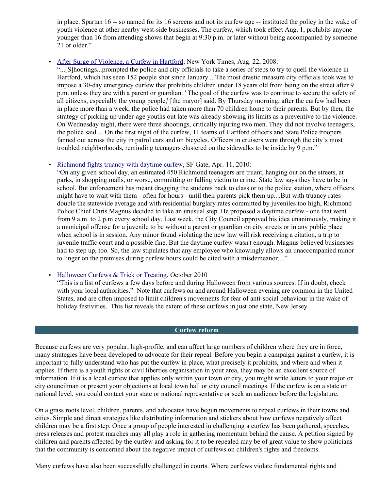in place. Spartan 16 -- so named for its 16 screens and not its curfew age -- instituted the policy in the wake of youth violence at other nearby west-side businesses. The curfew, which took effect Aug. 1, prohibits anyone younger than 16 from attending shows that begin at 9:30 p.m. or later without being accompanied by someone 21 or older."

#### • [After Surge of Violence, a Curfew in Hartford,](http://www.nytimes.com/2008/08/24/nyregion/nyregionspecial2/24hartfordct.html?_r=2&oref=slogin) New York Times, Aug. 22, 2008:

"...[S]hootings...prompted the police and city officials to take a series of steps to try to quell the violence in Hartford, which has seen 152 people shot since January... The most drastic measure city officials took was to impose a 30-day emergency curfew that prohibits children under 18 years old from being on the street after 9 p.m. unless they are with a parent or guardian. ' The goal of the curfew was to continue to secure the safety of all citizens, especially the young people,' [the mayor] said. By Thursday morning, after the curfew had been in place more than a week, the police had taken more than 70 children home to their parents. But by then, the strategy of picking up under-age youths out late was already showing its limits as a preventive to the violence. On Wednesday night, there were three shootings, critically injuring two men. They did not involve teenagers, the police said.... On the first night of the curfew, 11 teams of Hartford officers and State Police troopers fanned out across the city in patrol cars and on bicycles. Officers in cruisers went through the city's most troubled neighborhoods, reminding teenagers clustered on the sidewalks to be inside by 9 p.m."

#### • [Richmond fights truancy with daytime curfew,](http://www.sfgate.com/cgi-bin/article.cgi?f=/c/a/2010/04/11/MNQ21CSCOV.DTL) SF Gate, Apr. 11, 2010:

"On any given school day, an estimated 450 Richmond teenagers are truant, hanging out on the streets, at parks, in shopping malls, or worse, committing or falling victim to crime. State law says they have to be in school. But enforcement has meant dragging the students back to class or to the police station, where officers might have to wait with them - often for hours - until their parents pick them up....But with truancy rates double the statewide average and with residential burglary rates committed by juveniles too high, Richmond Police Chief Chris Magnus decided to take an unusual step. He proposed a daytime curfew - one that went from 9 a.m. to 2 p.m every school day. Last week, the City Council approved his idea unanimously, making it a municipal offense for a juvenile to be without a parent or guardian on city streets or in any public place when school is in session. Any minor found violating the new law will risk receiving a citation, a trip to juvenile traffic court and a possible fine. But the daytime curfew wasn't enough. Magnus believed businesses had to step up, too. So, the law stipulates that any employee who knowingly allows an unaccompanied minor to linger on the premises during curfew hours could be cited with a misdemeanor...."

• [Halloween Curfews & Trick or Treating,](http://www.parenthoodnj.com/halloween-curfews--trick-or-treating-2010.html) October 2010

"This is a list of curfews a few days before and during Halloween from various sources. If in doubt, check with your local authorities." Note that curfews on and around Halloween evening are common in the United States, and are often imposed to limit children's movements for fear of anti-social behaviour in the wake of holiday festivities. This list reveals the extent of these curfews in just one state, New Jersey.

#### **Curfew reform**

Because curfews are very popular, high-profile, and can affect large numbers of children where they are in force, many strategies have been developed to advocate for their repeal. Before you begin a campaign against a curfew, it is important to fully understand who has put the curfew in place, what precisely it prohibits, and where and when it applies. If there is a youth rights or civil liberties organisation in your area, they may be an excellent source of information. If it is a local curfew that applies only within your town or city, you might write letters to your major or city councilman or present your objections at local town hall or city council meetings. If the curfew is on a state or national level, you could contact your state or national representative or seek an audience before the legislature.

On a grass roots level, children, parents, and advocates have begun movements to repeal curfews in their towns and cities. Simple and direct strategies like distributing information and stickers about how curfews negatively affect children may be a first step. Once a group of people interested in challenging a curfew has been gathered, speeches, press releases and protest marches may all play a role in gathering momentum behind the cause. A petition signed by children and parents affected by the curfew and asking for it to be repealed may be of great value to show politicians that the community is concerned about the negative impact of curfews on children's rights and freedoms.

Many curfews have also been successfully challenged in courts. Where curfews violate fundamental rights and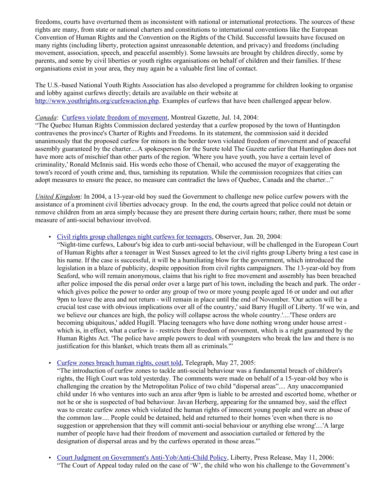freedoms, courts have overturned them as inconsistent with national or international protections. The sources of these rights are many, from state or national charters and constitutions to international conventions like the European Convention of Human Rights and the Convention on the Rights of the Child. Successful lawsuits have focused on many rights (including liberty, protection against unreasonable detention, and privacy) and freedoms (including movement, association, speech, and peaceful assembly). Some lawsuits are brought by children directly, some by parents, and some by civil liberties or youth rights organisations on behalf of children and their families. If these organisations exist in your area, they may again be a valuable first line of contact.

The U.S.-based National Youth Rights Association has also developed a programme for children looking to organise and lobby against curfews directly; details are available on their website at [http://www.youthrights.org/curfewaction.php.](http://www.youthrights.org/curfewaction.php) Examples of curfews that have been challenged appear below.

# *Canada*: [Curfews violate freedom of movement,](http://forums.youthrights.org/archive/index.php/t-1218.html) Montreal Gazette, Jul. 14, 2004:

"The Quebec Human Rights Commission declared yesterday that a curfew proposed by the town of Huntingdon contravenes the province's Charter of Rights and Freedoms. In its statement, the commission said it decided unanimously that the proposed curfew for minors in the border town violated freedom of movement and of peaceful assembly guaranteed by the charter....A spokesperson for the Surete told The Gazette earlier that Huntingdon does not have more acts of mischief than other parts of the region. 'Where you have youth, you have a certain level of criminality,' Ronald McInnis said. His words echo those of Chenail, who accused the mayor of exaggerating the town's record of youth crime and, thus, tarnishing its reputation. While the commission recognizes that cities can adopt measures to ensure the peace, no measure can contradict the laws of Quebec, Canada and the charter..."

*United Kingdom*: In 2004, a 13-year-old boy sued the Government to challenge new police curfew powers with the assistance of a prominent civil liberties advocacy group. In the end, the courts agreed that police could not detain or remove children from an area simply because they are present there during certain hours; rather, there must be some measure of anti-social behaviour involved.

# • [Civil rights group challenges night curfews for teenagers,](http://www.guardian.co.uk/politics/2004/jun/20/humanrights.law) Observer, Jun. 20, 2004:

"Night-time curfews, Labour's big idea to curb anti-social behaviour, will be challenged in the European Court of Human Rights after a teenager in West Sussex agreed to let the civil rights group Liberty bring a test case in his name. If the case is successful, it will be a humiliating blow for the government, which introduced the legislation in a blaze of publicity, despite opposition from civil rights campaigners. The 13-year-old boy from Seaford, who will remain anonymous, claims that his right to free movement and assembly has been breached after police imposed the dis persal order over a large part of his town, including the beach and park. The order which gives police the power to order any group of two or more young people aged 16 or under and out after 9pm to leave the area and not return - will remain in place until the end of November. 'Our action will be a crucial test case with obvious implications over all of the country,' said Barry Hugill of Liberty. 'If we win, and we believe our chances are high, the policy will collapse across the whole country.'....'These orders are becoming ubiquitous,' added Hugill. 'Placing teenagers who have done nothing wrong under house arrest which is, in effect, what a curfew is - restricts their freedom of movement, which is a right guaranteed by the Human Rights Act. 'The police have ample powers to deal with youngsters who break the law and there is no justification for this blanket, which treats them all as criminals."

#### • Curfew zones breach human rights, court told, Telegraph, May 27, 2005:

"The introduction of curfew zones to tackle anti-social behaviour was a fundamental breach of children's rights, the High Court was told yesterday. The comments were made on behalf of a 15-year-old boy who is challenging the creation by the Metropolitan Police of two child "dispersal areas".... Any unaccompanied child under 16 who ventures into such an area after 9pm is liable to be arrested and escorted home, whether or not he or she is suspected of bad behaviour. Javan Herberg, appearing for the unnamed boy, said the effect was to create curfew zones which violated the human rights of innocent young people and were an abuse of the common law.... People could be detained, held and returned to their homes 'even when there is no suggestion or apprehension that they will commit anti-social behaviour or anything else wrong'....'A large number of people have had their freedom of movement and association curtailed or fettered by the designation of dispersal areas and by the curfews operated in those areas.'"

• [Court Judgment on Government's Anti-Yob/Anti-Child Policy,](http://www.liberty-human-rights.org.uk/media/press/2006/court-judgment-on-governments-anti-yob-anti-child-policy.php) Liberty, Press Release, May 11, 2006: "The Court of Appeal today ruled on the case of 'W', the child who won his challenge to the Government's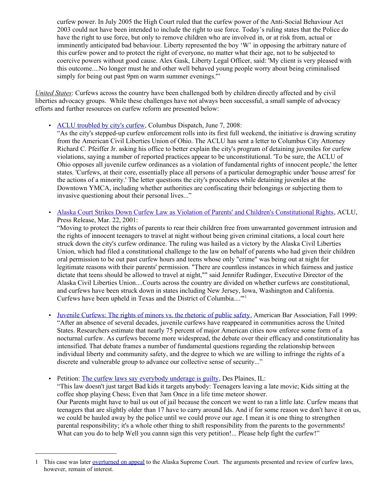curfew power. In July 2005 the High Court ruled that the curfew power of the Anti-Social Behaviour Act 2003 could not have been intended to include the right to use force. Today's ruling states that the Police do have the right to use force, but only to remove children who are involved in, or at risk from, actual or imminently anticipated bad behaviour. Liberty represented the boy 'W' in opposing the arbitrary nature of this curfew power and to protect the right of everyone, no matter what their age, not to be subjected to coercive powers without good cause. Alex Gask, Liberty Legal Officer, said: 'My client is very pleased with this outcome....No longer must he and other well behaved young people worry about being criminalised simply for being out past 9pm on warm summer evenings."

*United States*: Curfews across the country have been challenged both by children directly affected and by civil liberties advocacy groups. While these challenges have not always been successful, a small sample of advocacy efforts and further resources on curfew reform are presented below:

• [ACLU troubled by city's curfew,](http://www.dispatchpolitics.com/live/content/local_news/stories/2008/06/07/firstnight.ART_ART_06-07-08_B1_T8AE72E.html?sid=101) Columbus Dispatch, June 7, 2008:

"As the city's stepped-up curfew enforcement rolls into its first full weekend, the initiative is drawing scrutiny from the American Civil Liberties Union of Ohio. The ACLU has sent a letter to Columbus City Attorney Richard C. Pfeiffer Jr. asking his office to better explain the city's program of detaining juveniles for curfew violations, saying a number of reported practices appear to be unconstitutional. 'To be sure, the ACLU of Ohio opposes all juvenile curfew ordinances as a violation of fundamental rights of innocent people,' the letter states. 'Curfews, at their core, essentially place all persons of a particular demographic under 'house arrest' for the actions of a minority.' The letter questions the city's procedures while detaining juveniles at the Downtown YMCA, including whether authorities are confiscating their belongings or subjecting them to invasive questioning about their personal lives..."

• Alaska Court Strikes Down Curfew Law as Violation of Parents' and Children's Constitutional Rights, ACLU, Press Release, Mar. 22, 2001:

"Moving to protect the rights of parents to rear their children free from unwarranted government intrusion and the rights of innocent teenagers to travel at night without being given criminal citations, a local court here struck down the city's curfew ordinance. The ruling was hailed as a victory by the Alaska Civil Liberties Union, which had filed a constitutional challenge to the law on behalf of parents who had given their children oral permission to be out past curfew hours and teens whose only "crime" was being out at night for legitimate reasons with their parents' permission. "There are countless instances in which fairness and justice dictate that teens should be allowed to travel at night,"" said Jennifer Rudinger, Executive Director of the Alaska Civil Liberties Union....Courts across the country are divided on whether curfews are constitutional, and curfews have been struck down in states including New Jersey, Iowa, Washington and California. Curfews have been upheld in Texas and the District of Columbia....'"[1](#page-10-0)

- • [Juvenile Curfews: The rights of minors vs. the rhetoric of public safety,](http://www.abanet.org/irr/hr/fall99humanrights/budd.html) American Bar Association, Fall 1999: "After an absence of several decades, juvenile curfews have reappeared in communities across the United States. Researchers estimate that nearly 75 percent of major American cities now enforce some form of a nocturnal curfew. As curfews become more widespread, the debate over their efficacy and constitutionality has intensified. That debate frames a number of fundamental questions regarding the relationship between individual liberty and community safety, and the degree to which we are willing to infringe the rights of a discrete and vulnerable group to advance our collective sense of security..."
- Petition: [The curfew laws say everybody underage is guilty,](http://www.ipetitions.com/petition/curfew/) Des Plaines, IL:

"This law doesn't just target Bad kids it targets anybody: Teenagers leaving a late movie; Kids sitting at the coffee shop playing Chess; Even that 3am Once in a life time meteor shower. Our Parents might have to bail us out of jail because the concert we went to ran a little late. Curfew means that teenagers that are slightly older than 17 have to carry around Ids. And if for some reason we don't have it on us, we could be hauled away by the police until we could prove our age. I mean it is one thing to strengthen parental responsibility; it's a whole other thing to shift responsibility from the parents to the governments! What can you do to help Well you cannn sign this very petition!... Please help fight the curfew!"

<span id="page-10-0"></span><sup>1</sup> This case was later [overturned on appeal](http://touchngo.com/sp/html/sp-5807.htm) to the Alaska Supreme Court. The arguments presented and review of curfew laws, however, remain of interest.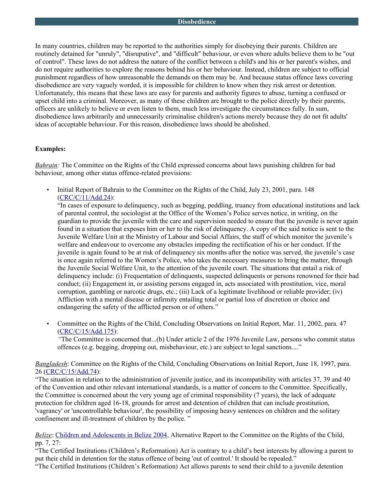In many countries, children may be reported to the authorities simply for disobeying their parents. Children are routinely detained for "unruly", "disruputive", and "difficult" behaviour, or even where adults believe them to be "out of control". These laws do not address the nature of the conflict between a child's and his or her parent's wishes, and do not require authorities to explore the reasons behind his or her behaviour. Instead, children are subject to official punishment regardless of how unreasonable the demands on them may be. And because status offence laws covering disobedience are very vaguely worded, it is impossible for children to know when they risk arrest or detention. Unfortunately, this means that these laws are easy for parents and authority figures to abuse, turning a confused or upset child into a criminal. Moreover, as many of these children are brought to the police directly by their parents, officers are unlikely to believe or even listen to them, much less investigate the circumstances fully. In sum, disobedience laws arbitrarily and unnecessarily criminalise children's actions merely because they do not fit adults' ideas of acceptable behaviour. For this reason, disobedience laws should be abolished.

#### **Examples:**

*Bahrain:* The Committee on the Rights of the Child expressed concerns about laws punishing children for bad behaviour, among other status offence-related provisions:

• Initial Report of Bahrain to the Committee on the Rights of the Child, July 23, 2001, para. 148 [\(CRC/C/11/Add.24\)](http://tb.ohchr.org/default.aspx?Symbol=CRC/C/11/Add.24):

"In cases of exposure to delinquency, such as begging, peddling, truancy from educational institutions and lack of parental control, the sociologist at the Office of the Women's Police serves notice, in writing, on the guardian to provide the juvenile with the care and supervision needed to ensure that the juvenile is never again found in a situation that exposes him or her to the risk of delinquency. A copy of the said notice is sent to the Juvenile Welfare Unit at the Ministry of Labour and Social Affairs, the staff of which monitor the juvenile's welfare and endeavour to overcome any obstacles impeding the rectification of his or her conduct. If the juvenile is again found to be at risk of delinquency six months after the notice was served, the juvenile's case is once again referred to the Women's Police, who takes the necessary measures to bring the matter, through the Juvenile Social Welfare Unit, to the attention of the juvenile court. The situations that entail a risk of delinquency include: (i) Frequentation of delinquents, suspected delinquents or persons renowned for their bad conduct; (ii) Engagement in, or assisting persons engaged in, acts associated with prostitution, vice, moral corruption, gambling or narcotic drugs, etc.; (iii) Lack of a legitimate livelihood or reliable provider; (iv) Affliction with a mental disease or infirmity entailing total or partial loss of discretion or choice and endangering the safety of the afflicted person or of others."

• Committee on the Rights of the Child, Concluding Observations on Initial Report, Mar. 11, 2002, para. 47 [\(CRC/C/15/Add.175\)](http://tb.ohchr.org/default.aspx?Symbol=CRC/C/15/Add.175):

*"*The Committee is concerned that...(b) Under article 2 of the 1976 Juvenile Law, persons who commit status offences (e.g. begging, dropping out, misbehaviour, etc.) are subject to legal sanctions...."

*Bangladesh*: Committee on the Rights of the Child, Concluding Observations on Initial Report, June 18, 1997, para. 26 [\(CRC/C/15/Add.74\)](http://tb.ohchr.org/default.aspx?Symbol=CRC/C/15/Add.74):

"The situation in relation to the administration of juvenile justice, and its incompatibility with articles 37, 39 and 40 of the Convention and other relevant international standards, is a matter of concern to the Committee. Specifically, the Committee is concerned about the very young age of criminal responsibility (7 years), the lack of adequate protection for children aged 16-18, grounds for arrest and detention of children that can include prostitution, 'vagrancy' or 'uncontrollable behaviour', the possibility of imposing heavy sentences on children and the solitary confinement and ill-treatment of children by the police. "

*Belize*: [Children and Adolescents in Belize 2004,](http://www.crin.org/docs/resources/treaties/crc.38/Belize_ngo_report.pdf) Alternative Report to the Committee on the Rights of the Child, pp. 7, 27:

"The Certified Institutions (Children's Reformation) Act is contrary to a child's best interests by allowing a parent to put their child in detention for the status offence of being 'out of control.' It should be repealed."

"The Certified Institutions (Children's Reformation) Act allows parents to send their child to a juvenile detention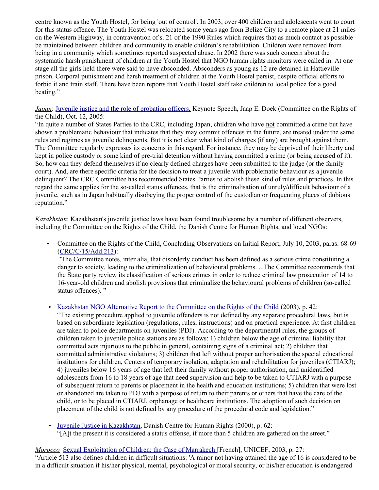centre known as the Youth Hostel, for being 'out of control'. In 2003, over 400 children and adolescents went to court for this status offence. The Youth Hostel was relocated some years ago from Belize City to a remote place at 21 miles on the Western Highway, in contravention of s. 21 of the 1990 Rules which requires that as much contact as possible be maintained between children and community to enable children's rehabilitation. Children were removed from being in a community which sometimes reported suspected abuse. In 2002 there was such concern about the systematic harsh punishment of children at the Youth Hostel that NGO human rights monitors were called in. At one stage all the girls held there were said to have absconded. Absconders as young as 12 are detained in Hattieville prison. Corporal punishment and harsh treatment of children at the Youth Hostel persist, despite official efforts to forbid it and train staff. There have been reports that Youth Hostel staff take children to local police for a good beating."

*Japan*: [Juvenile justice and the role of probation officers,](http://www.jaapedoek.nl/publications/keynotes/keynote_337.doc) Keynote Speech, Jaap E. Doek (Committee on the Rights of the Child), Oct. 12, 2005:

"In quite a number of States Parties to the CRC, including Japan, children who have not committed a crime but have shown a problematic behaviour that indicates that they may commit offences in the future, are treated under the same rules and regimes as juvenile delinquents. But it is not clear what kind of charges (if any) are brought against them. The Committee regularly expresses its concerns in this regard. For instance, they may be deprived of their liberty and kept in police custody or some kind of pre-trial detention without having committed a crime (or being accused of it). So, how can they defend themselves if no clearly defined charges have been submitted to the judge (or the family court). And, are there specific criteria for the decision to treat a juvenile with problematic behaviour as a juvenile delinquent? The CRC Committee has recommended States Parties to abolish these kind of rules and practices. In this regard the same applies for the so-called status offences, that is the criminalisation of unruly/difficult behaviour of a juvenile, such as in Japan habitually disobeying the proper control of the custodian or frequenting places of dubious reputation."

*Kazakhstan*: Kazakhstan's juvenile justice laws have been found troublesome by a number of different observers, including the Committee on the Rights of the Child, the Danish Centre for Human Rights, and local NGOs:

• Committee on the Rights of the Child, Concluding Observations on Initial Report, July 10, 2003, paras. 68-69 [\(CRC/C/15/Add.213\)](http://tb.ohchr.org/default.aspx?Symbol=CRC/C/15/Add.213):

*"*The Committee notes, inter alia, that disorderly conduct has been defined as a serious crime constituting a danger to society, leading to the criminalization of behavioural problems. ...The Committee recommends that the State party review its classification of serious crimes in order to reduce criminal law prosecution of 14 to 16-year-old children and abolish provisions that criminalize the behavioural problems of children (so-called status offences). "

• [Kazakhstan NGO Alternative Report to the Committee on the Rights of the Child](http://www.crin.org/resources/infoDetail.asp?ID=3509&flag=legal) (2003), p. 42:

"The existing procedure applied to juvenile offenders is not defined by any separate procedural laws, but is based on subordinate legislation (regulations, rules, instructions) and on practical experience. At first children are taken to police departments on juveniles (PDJ). According to the departmental rules, the groups of children taken to juvenile police stations are as follows: 1) children below the age of criminal liability that committed acts injurious to the public in general, containing signs of a criminal act; 2) children that committed administrative violations; 3) children that left without proper authorisation the special educational institutions for children, Centers of temporary isolation, adaptation and rehabilitation for juveniles (CTIARJ); 4) juveniles below 16 years of age that left their family without proper authorisation, and unidentified adolescents from 16 to 18 years of age that need supervision and help to be taken to CTIARJ with a purpose of subsequent return to parents or placement in the health and education institutions; 5) children that were lost or abandoned are taken to PDJ with a purpose of return to their parents or others that have the care of the child, or to be placed in CTIARJ, orphanage or healthcare institutions. The adoption of such decision on placement of the child is not defined by any procedure of the procedural code and legislation."

• [Juvenile Justice in Kazakhstan,](http://www.humanrights.dk/files/pdf/Publikationer/eandr22.pdf) Danish Centre for Human Rights (2000), p. 62: "[A]t the present it is considered a status offense, if more than 5 children are gathered on the street."

#### *Morocco* [Sexual Exploitation of Children: the Case of Marrakech \[](http://www.unicef.org/morocco/french/Exploitation_Sexuelle1.pdf%20)French], UNICEF, 2003, p. 27:

"Article 513 also defines children in difficult situations: 'A minor not having attained the age of 16 is considered to be in a difficult situation if his/her physical, mental, psychological or moral security, or his/her education is endangered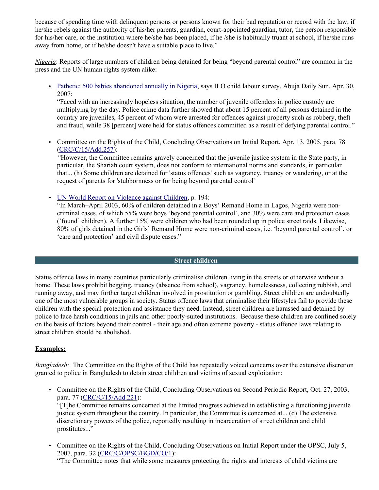because of spending time with delinquent persons or persons known for their bad reputation or record with the law; if he/she rebels against the authority of his/her parents, guardian, court-appointed guardian, tutor, the person responsible for his/her care, or the institution where he/she has been placed, if he /she is habitually truant at school, if he/she runs away from home, or if he/she doesn't have a suitable place to live."

*Nigeria*: Reports of large numbers of children being detained for being "beyond parental control" are common in the press and the UN human rights system alike:

• [Pathetic: 500 babies abandoned annually in Nigeria,](http://www.sunnewsonline.com/webpages/news/abujareports/2007/apr/30/abujaroport-30-04-2007-001.htm) says ILO child labour survey, Abuja Daily Sun, Apr. 30, 2007:

"Faced with an increasingly hopeless situation, the number of juvenile offenders in police custody are multiplying by the day. Police crime data further showed that about 15 percent of all persons detained in the country are juveniles, 45 percent of whom were arrested for offences against property such as robbery, theft and fraud, while 38 [percent] were held for status offences committed as a result of defying parental control."

• Committee on the Rights of the Child, Concluding Observations on Initial Report, Apr. 13, 2005, para. 78 [\(CRC/C/15/Add.257\)](http://tb.ohchr.org/default.aspx?Symbol=CRC/C/15/Add.257):

*"*However, the Committee remains gravely concerned that the juvenile justice system in the State party, in particular, the Shariah court system, does not conform to international norms and standards, in particular that... (h) Some children are detained for 'status offences' such as vagrancy, truancy or wandering, or at the request of parents for 'stubbornness or for being beyond parental control'

• UN [World Report on Violence against Children,](http://www.crin.org/resources/infoDetail.asp?ID=11348&flag=report) p. 194:

"In March–April 2003, 60% of children detained in a Boys' Remand Home in Lagos, Nigeria were noncriminal cases, of which 55% were boys 'beyond parental control', and 30% were care and protection cases ('found' children). A further 15% were children who had been rounded up in police street raids. Likewise, 80% of girls detained in the Girls' Remand Home were non-criminal cases, i.e. 'beyond parental control', or 'care and protection' and civil dispute cases."

#### **Street children**

Status offence laws in many countries particularly criminalise children living in the streets or otherwise without a home. These laws prohibit begging, truancy (absence from school), vagrancy, homelessness, collecting rubbish, and running away, and may further target children involved in prostitution or gambling. Street children are undoubtedly one of the most vulnerable groups in society. Status offence laws that criminalise their lifestyles fail to provide these children with the special protection and assistance they need. Instead, street children are harassed and detained by police to face harsh conditions in jails and other poorly-suited institutions. Because these children are confined solely on the basis of factors beyond their control - their age and often extreme poverty - status offence laws relating to street children should be abolished.

# **Examples:**

*Bangladesh:* The Committee on the Rights of the Child has repeatedly voiced concerns over the extensive discretion granted to police in Bangladesh to detain street children and victims of sexual exploitation:

• Committee on the Rights of the Child, Concluding Observations on Second Periodic Report, Oct. 27, 2003, para. 77 [\(CRC/C/15/Add.221\)](http://tb.ohchr.org/default.aspx?Symbol=CRC/C/15/Add.221):

"[T]he Committee remains concerned at the limited progress achieved in establishing a functioning juvenile justice system throughout the country. In particular, the Committee is concerned at... (d) The extensive discretionary powers of the police, reportedly resulting in incarceration of street children and child prostitutes..."

• Committee on the Rights of the Child, Concluding Observations on Initial Report under the OPSC, July 5, 2007, para. 32 [\(CRC/C/OPSC/BGD/CO/1\)](http://www2.ohchr.org/english/bodies/crc/crcs45.htm#opac):

"The Committee notes that while some measures protecting the rights and interests of child victims are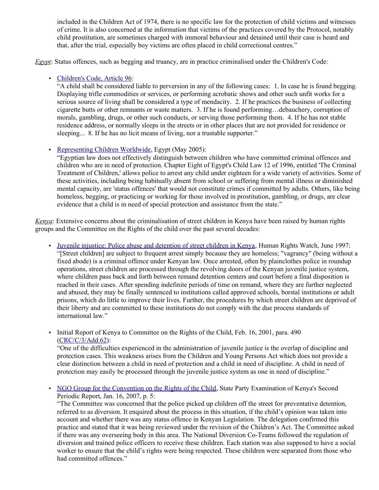included in the Children Act of 1974, there is no specific law for the protection of child victims and witnesses of crime. It is also concerned at the information that victims of the practices covered by the Protocol, notably child prostitution, are sometimes charged with immoral behaviour and detained until their case is heard and that, after the trial, especially boy victims are often placed in child correctional centres."

*Egypt*: Status offences, such as begging and truancy, are in practice criminalised under the Children's Code:

# • [Children's Code, Article 96:](http://www.law.yale.edu/rcw/rcw/jurisdictions/afn/egypt/frontpage.htm)

"A child shall be considered liable to perversion in any of the following cases: 1. In case he is found begging. Displaying trifle commodities or services, or performing acrobatic shows and other such unfit works for a serious source of living shall be considered a type of mendacity. 2. If he practices the business of collecting cigarette butts or other remnants or waste matters. 3. If he is found performing…debauchery, corruption of morals, gambling, drugs, or other such conducts, or serving those performing them. 4. If he has not stable residence address, or normally sleeps in the streets or in other places that are not provided for residence or sleeping... 8. If he has no licit means of living, nor a trustable supporter."

# • [Representing Children Worldwide,](http://www.law.yale.edu/rcw/rcw/jurisdictions/afn/egypt/frontpage.htm) Egypt (May 2005):

"Egyptian law does not effectively distinguish between children who have committed criminal offences and children who are in need of protection. Chapter Eight of Egypt's Child Law 12 of 1996, entitled 'The Criminal Treatment of Children,' allows police to arrest any child under eighteen for a wide variety of activities. Some of these activities, including being habitually absent from school or suffering from mental illness or diminished mental capacity, are 'status offences' that would not constitute crimes if committed by adults. Others, like being homeless, begging, or practicing or working for those involved in prostitution, gambling, or drugs, are clear evidence that a child is in need of special protection and assistance from the state."

*Kenya*: Extensive concerns about the criminalisation of street children in Kenya have been raised by human rights groups and the Committee on the Rights of the child over the past several decades:

- • [Juvenile injustice: Police abuse and detention of street children in Kenya,](http://www.hrw.org/legacy/reports/1997/kenya/) Human Rights Watch, June 1997: "[Street children] are subject to frequent arrest simply because they are homeless; "vagrancy" (being without a fixed abode) is a criminal offence under Kenyan law. Once arrested, often by plainclothes police in roundup operations, street children are processed through the revolving doors of the Kenyan juvenile justice system, where children pass back and forth between remand detention centers and court before a final disposition is reached in their cases. After spending indefinite periods of time on remand, where they are further neglected and abused, they may be finally sentenced to institutions called approved schools, borstal institutions or adult prisons, which do little to improve their lives. Further, the procedures by which street children are deprived of their liberty and are committed to these institutions do not comply with the due process standards of international law."
- Initial Report of Kenya to Committee on the Rights of the Child, Feb. 16, 2001, para. 490 [\(CRC/C/3/Add.62\)](http://tb.ohchr.org/default.aspx?Symbol=CRC/C/15/Add.160):

"One of the difficulties experienced in the administration of juvenile justice is the overlap of discipline and protection cases. This weakness arises from the Children and Young Persons Act which does not provide a clear distinction between a child in need of protection and a child in need of discipline. A child in need of protection may easily be processed through the juvenile justice system as one in need of discipline."

• [NGO Group for the Convention on the Rights of the Child,](http://www.google.com/url?sa=t&source=web&cd=1&ved=0CBIQFjAA&url=http://www.crin.org/docs/NGO_Group_44_Kenya.doc&rct=j&q=The%20Committee%20was%20concerned%20that%20the%20police%20picked%20up%20children%20off%20the%20street%20for%20preventative%20detention,%20referred%20to%20as%20diversion.%20It%20enquired%20about%20the%20process%20in%20this%20situation,%20if%20the%20child%E2%80%99s%20opinion%20was%20taken%20into%20account%20and%20whether%20there%20was%20any%20status%20offence%20in%20Kenyan%20Legislation.%20The%20delegation%20confirmed%20this%20practice%20and%20stated%20that%20it%20was%20being%20reviewed%20under%20the%20revision%20of%20the%20Children%E2%80%99s%20Act.%20The%20Committee%20asked%20if%20there%20was%20any%20overseeing%20body%20in%20this%20area.%20The%20National%20Diversion%20Co-Teams%20followed%20the%20regulation%20of%20diversion%20and%20trained%20police%20officers%20to%20receive%20these%20children.%20Each%20station%20was%20also%20supposed%20to%20have%20a%20social%20worker%20to%20ensure%20that%20the%20child%E2%80%99s%20rights%20were%20being%20respected.%20These%20children%20were%20separated%20from%20those%20who%20had%20committed%20offences.%E2%80%9D&ei=vlrRTML-NNaSjAfdg4iMDA&usg=AFQjCNHFdAcZU3qFpdWowPgOTDWoRJQa6Q&cad=rja) State Party Examination of Kenya's Second Periodic Report, Jan. 16, 2007, p. 5:

"The Committee was concerned that the police picked up children off the street for preventative detention, referred to as diversion. It enquired about the process in this situation, if the child's opinion was taken into account and whether there was any status offence in Kenyan Legislation. The delegation confirmed this practice and stated that it was being reviewed under the revision of the Children's Act. The Committee asked if there was any overseeing body in this area. The National Diversion Co-Teams followed the regulation of diversion and trained police officers to receive these children. Each station was also supposed to have a social worker to ensure that the child's rights were being respected. These children were separated from those who had committed offences."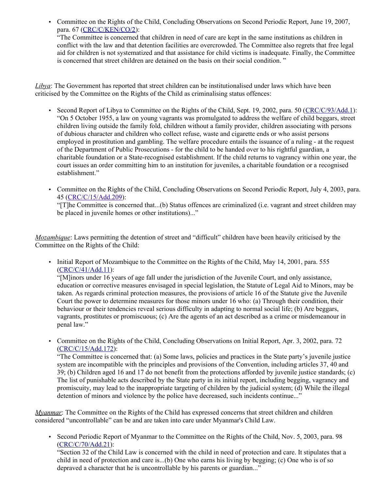• Committee on the Rights of the Child, Concluding Observations on Second Periodic Report, June 19, 2007, para. 67 [\(CRC/C/KEN/CO/2\)](http://www2.ohchr.org/english/bodies/crc/crcs44.htm): "The Committee is concerned that children in need of care are kept in the same institutions as children in conflict with the law and that detention facilities are overcrowded. The Committee also regrets that free legal aid for children is not systematized and that assistance for child victims is inadequate. Finally, the Committee is concerned that street children are detained on the basis on their social condition. "

*Libya*: The Government has reported that street children can be institutionalised under laws which have been criticised by the Committee on the Rights of the Child as criminalising status offences:

- Second Report of Libya to Committee on the Rights of the Child, Sept. 19, 2002, para. 50 [\(CRC/C/93/Add.1\)](http://tb.ohchr.org/default.aspx?Symbol=CRC/C/93/Add.1): "On 5 October 1955, a law on young vagrants was promulgated to address the welfare of child beggars, street children living outside the family fold, children without a family provider, children associating with persons of dubious character and children who collect refuse, waste and cigarette ends or who assist persons employed in prostitution and gambling. The welfare procedure entails the issuance of a ruling - at the request of the Department of Public Prosecutions - for the child to be handed over to his rightful guardian, a charitable foundation or a State-recognised establishment. If the child returns to vagrancy within one year, the court issues an order committing him to an institution for juveniles, a charitable foundation or a recognised establishment."
- Committee on the Rights of the Child, Concluding Observations on Second Periodic Report, July 4, 2003, para. 45 [\(CRC/C/15/Add.209\)](http://tb.ohchr.org/default.aspx?Symbol=CRC/C/15/Add.209):

"[T]he Committee is concerned that...(b) Status offences are criminalized (i.e. vagrant and street children may be placed in juvenile homes or other institutions)..."

*Mozambique*: Laws permitting the detention of street and "difficult" children have been heavily criticised by the Committee on the Rights of the Child:

• Initial Report of Mozambique to the Committee on the Rights of the Child, May 14, 2001, para. 555 [\(CRC/C/41/Add.11\)](http://tb.ohchr.org/default.aspx?Symbol=CRC/C/41/Add.11):

"[M]inors under 16 years of age fall under the jurisdiction of the Juvenile Court, and only assistance, education or corrective measures envisaged in special legislation, the Statute of Legal Aid to Minors, may be taken. As regards criminal protection measures, the provisions of article 16 of the Statute give the Juvenile Court the power to determine measures for those minors under 16 who: (a) Through their condition, their behaviour or their tendencies reveal serious difficulty in adapting to normal social life; (b) Are beggars, vagrants, prostitutes or promiscuous; (c) Are the agents of an act described as a crime or misdemeanour in penal law."

• Committee on the Rights of the Child, Concluding Observations on Initial Report, Apr. 3, 2002, para. 72 [\(CRC/C/15/Add.172\)](http://tb.ohchr.org/default.aspx?Symbol=CRC/C/15/Add.172):

"The Committee is concerned that: (a) Some laws, policies and practices in the State party's juvenile justice system are incompatible with the principles and provisions of the Convention, including articles 37, 40 and 39; (b) Children aged 16 and 17 do not benefit from the protections afforded by juvenile justice standards; (c) The list of punishable acts described by the State party in its initial report, including begging, vagrancy and promiscuity, may lead to the inappropriate targeting of children by the judicial system; (d) While the illegal detention of minors and violence by the police have decreased, such incidents continue..."

*Myanmar*: The Committee on the Rights of the Child has expressed concerns that street children and children considered "uncontrollable" can be and are taken into care under Myanmar's Child Law.

• Second Periodic Report of Myanmar to the Committee on the Rights of the Child, Nov. 5, 2003, para. 98 [\(CRC/C/70/Add.21\)](http://tb.ohchr.org/default.aspx?Symbol=CRC/C/70/Add.21):

"Section 32 of the Child Law is concerned with the child in need of protection and care. It stipulates that a child in need of protection and care is...(b) One who earns his living by begging; (c) One who is of so depraved a character that he is uncontrollable by his parents or guardian..."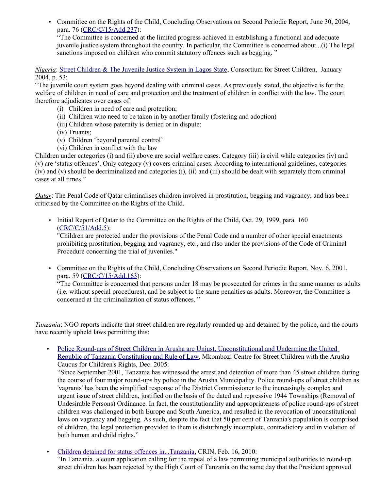• Committee on the Rights of the Child, Concluding Observations on Second Periodic Report, June 30, 2004, para. 76 [\(CRC/C/15/Add.237\)](http://www2.ohchr.org/english/bodies/crc/crcs36.htm):

"The Committee is concerned at the limited progress achieved in establishing a functional and adequate juvenile justice system throughout the country. In particular, the Committee is concerned about...(i) The legal sanctions imposed on children who commit statutory offences such as begging."

*Nigeria*: [Street Children & The Juvenile Justice System in Lagos State,](http://www.streetchildren.org.uk/content.asp?pageID=46&showPublications=t) Consortium for Street Children, January 2004, p. 53:

"The juvenile court system goes beyond dealing with criminal cases. As previously stated, the objective is for the welfare of children in need of care and protection and the treatment of children in conflict with the law. The court therefore adjudicates over cases of:

- (i) Children in need of care and protection;
- (ii) Children who need to be taken in by another family (fostering and adoption)
- (iii) Children whose paternity is denied or in dispute;
- (iv) Truants;
- (v) Children 'beyond parental control'
- (vi) Children in conflict with the law

Children under categories (i) and (ii) above are social welfare cases. Category (iii) is civil while categories (iv) and (v) are 'status offences'. Only category (v) covers criminal cases. According to international guidelines, categories (iv) and (v) should be decriminalized and categories (i), (ii) and (iii) should be dealt with separately from criminal cases at all times."

*Qatar*: The Penal Code of Qatar criminalises children involved in prostitution, begging and vagrancy, and has been criticised by the Committee on the Rights of the Child.

• Initial Report of Qatar to the Committee on the Rights of the Child, Oct. 29, 1999, para. 160 [\(CRC/C/51/Add.5\)](http://tb.ohchr.org/default.aspx?Symbol=CRC/C/51/Add.5):

"Children are protected under the provisions of the Penal Code and a number of other special enactments prohibiting prostitution, begging and vagrancy, etc., and also under the provisions of the Code of Criminal Procedure concerning the trial of juveniles."

• Committee on the Rights of the Child, Concluding Observations on Second Periodic Report, Nov. 6, 2001, para. 59 [\(CRC/C/15/Add.163\)](http://tb.ohchr.org/default.aspx?Symbol=CRC/C/15/Add.163):

"The Committee is concerned that persons under 18 may be prosecuted for crimes in the same manner as adults (i.e. without special procedures), and be subject to the same penalties as adults. Moreover, the Committee is concerned at the criminalization of status offences. "

*Tanzania*: NGO reports indicate that street children are regularly rounded up and detained by the police, and the courts have recently upheld laws permitting this:

• [Police Round-ups of Street Children in Arusha are Unjust, Unconstitutional and Undermine the United](http://www.crin.org/resources/infoDetail.asp?ID=7363&flag=report) [Republic of Tanzania Constitution and Rule of Law,](http://www.crin.org/resources/infoDetail.asp?ID=7363&flag=report) Mkombozi Centre for Street Children with the Arusha Caucus for Children's Rights, Dec. 2005:

"Since September 2001, Tanzania has witnessed the arrest and detention of more than 45 street children during the course of four major round-ups by police in the Arusha Municipality. Police round-ups of street children as 'vagrants' has been the simplified response of the District Commissioner to the increasingly complex and urgent issue of street children, justified on the basis of the dated and repressive 1944 Townships (Removal of Undesirable Persons) Ordinance. In fact, the constitutionality and appropriateness of police round-ups of street children was challenged in both Europe and South America, and resulted in the revocation of unconstitutional laws on vagrancy and begging. As such, despite the fact that 50 per cent of Tanzania's population is comprised of children, the legal protection provided to them is disturbingly incomplete, contradictory and in violation of both human and child rights."

• [Children detained for status offences in...Tanzania,](http://www.crin.org/resources/infoDetail.asp?ID=21864&flag=news) CRIN, Feb. 16, 2010:

"In Tanzania, a court application calling for the repeal of a law permitting municipal authorities to round-up street children has been rejected by the High Court of Tanzania on the same day that the President approved